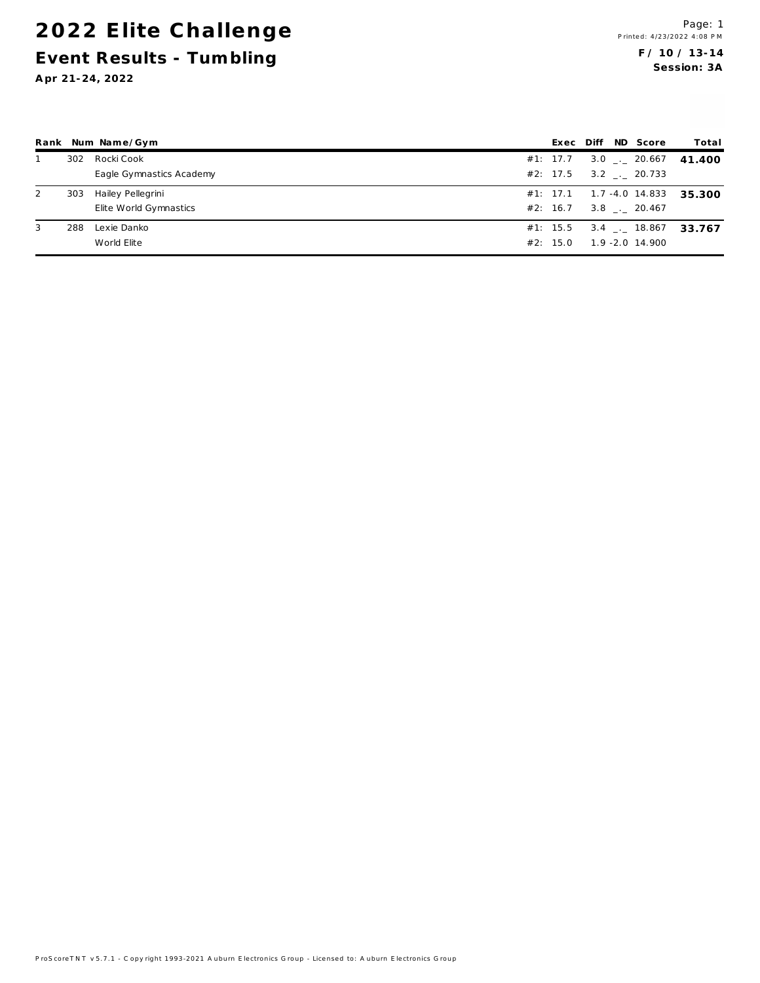## 2022 Elite Challenge Event Results - Tumbling

Apr 21-24, 2022

|   |     | Rank Num Name/Gym        |          |  | Exec Diff ND Score                | Total                             |
|---|-----|--------------------------|----------|--|-----------------------------------|-----------------------------------|
|   | 302 | Rocki Cook               |          |  | #1: 17.7 3.0 $\frac{1}{2}$ 20.667 | 41.400                            |
|   |     | Eagle Gymnastics Academy |          |  | #2: 17.5 3.2 . 20.733             |                                   |
| 2 | 303 | Hailey Pellegrini        |          |  |                                   | #1: 17.1  1.7 -4.0 14.833  35.300 |
|   |     | Elite World Gymnastics   |          |  | #2: 16.7 3.8 20.467               |                                   |
| 3 | 288 | Lexie Danko              |          |  |                                   | #1: 15.5 3.4 . 18.867 33.767      |
|   |     | World Elite              | #2: 15.0 |  | $1.9 - 2.0$ 14.900                |                                   |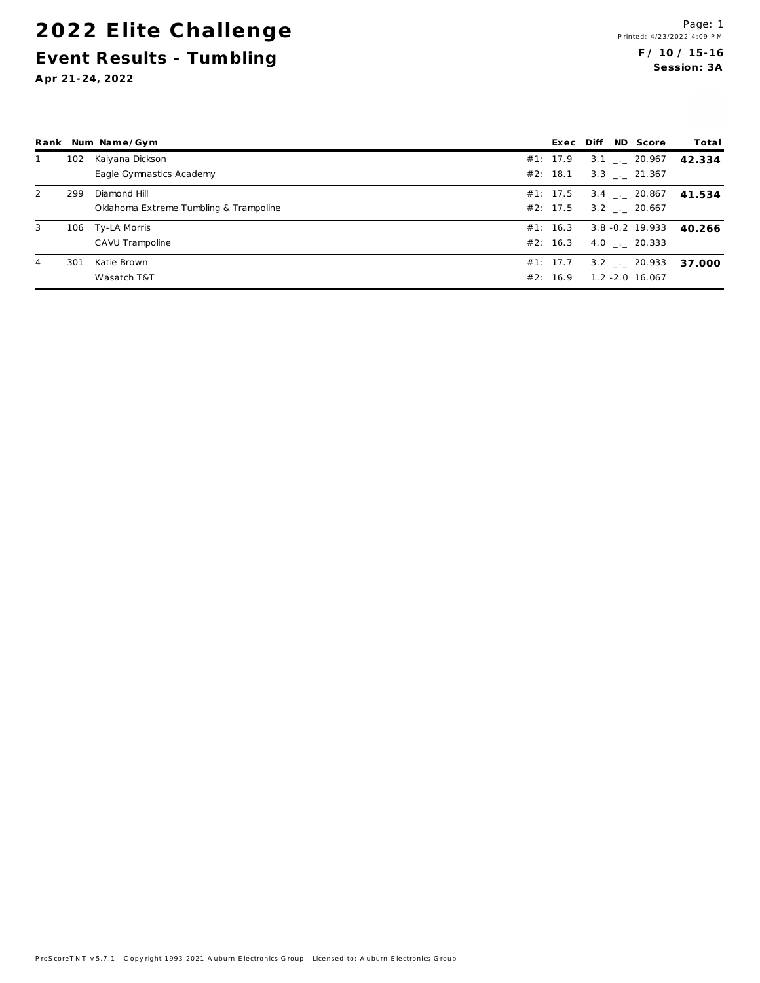## 2022 Elite Challenge Event Results - Tumbling

Apr 21-24, 2022

|   |     | Rank Num Name/Gym                      |          |  | Exec Diff ND Score     | Total  |
|---|-----|----------------------------------------|----------|--|------------------------|--------|
|   | 102 | Kalyana Dickson                        | #1: 17.9 |  | $3.1$ $_{-1}$ 20.967   | 42.334 |
|   |     | Eagle Gymnastics Academy               | #2: 18.1 |  | $3.3$ . 21.367         |        |
| 2 | 299 | Diamond Hill                           | #1: 17.5 |  | $3.4$ $-.$ 20.867      | 41.534 |
|   |     | Oklahoma Extreme Tumbling & Trampoline | #2: 17.5 |  | $3.2$ $_{\sim}$ 20.667 |        |
| 3 | 106 | Ty-LA Morris                           | #1: 16.3 |  | 3.8 - 0.2 19.933       | 40.266 |
|   |     | CAVU Trampoline                        | #2: 16.3 |  | 4.0 $\_\cdot$ 20.333   |        |
| 4 | 301 | Katie Brown                            | #1: 17.7 |  | $3.2$ $-.20.933$       | 37.000 |
|   |     | Wasatch T&T                            | #2: 16.9 |  | $1.2 - 2.0$ 16.067     |        |

ProScoreTNT v 5.7.1 - C opyright 1993-2021 A uburn Electronics Group - Licensed to: A uburn Electronics Group